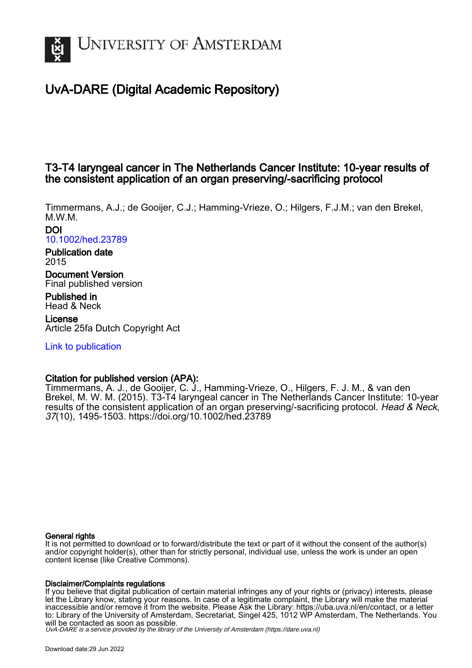

# UvA-DARE (Digital Academic Repository)

## T3-T4 laryngeal cancer in The Netherlands Cancer Institute: 10-year results of the consistent application of an organ preserving/-sacrificing protocol

Timmermans, A.J.; de Gooijer, C.J.; Hamming-Vrieze, O.; Hilgers, F.J.M.; van den Brekel, M.W.M.

DOI [10.1002/hed.23789](https://doi.org/10.1002/hed.23789)

Publication date 2015

Document Version Final published version

Published in Head & Neck

License Article 25fa Dutch Copyright Act

[Link to publication](https://dare.uva.nl/personal/pure/en/publications/t3t4-laryngeal-cancer-in-the-netherlands-cancer-institute-10year-results-of-the-consistent-application-of-an-organ-preservingsacrificing-protocol(7ab9f7e7-085d-4d77-bd8f-fd881029015f).html)

## Citation for published version (APA):

Timmermans, A. J., de Gooijer, C. J., Hamming-Vrieze, O., Hilgers, F. J. M., & van den Brekel, M. W. M. (2015). T3-T4 laryngeal cancer in The Netherlands Cancer Institute: 10-year results of the consistent application of an organ preserving/-sacrificing protocol. Head & Neck, 37(10), 1495-1503.<https://doi.org/10.1002/hed.23789>

#### General rights

It is not permitted to download or to forward/distribute the text or part of it without the consent of the author(s) and/or copyright holder(s), other than for strictly personal, individual use, unless the work is under an open content license (like Creative Commons).

#### Disclaimer/Complaints regulations

If you believe that digital publication of certain material infringes any of your rights or (privacy) interests, please let the Library know, stating your reasons. In case of a legitimate complaint, the Library will make the material inaccessible and/or remove it from the website. Please Ask the Library: https://uba.uva.nl/en/contact, or a letter to: Library of the University of Amsterdam, Secretariat, Singel 425, 1012 WP Amsterdam, The Netherlands. You will be contacted as soon as possible.

UvA-DARE is a service provided by the library of the University of Amsterdam (http*s*://dare.uva.nl)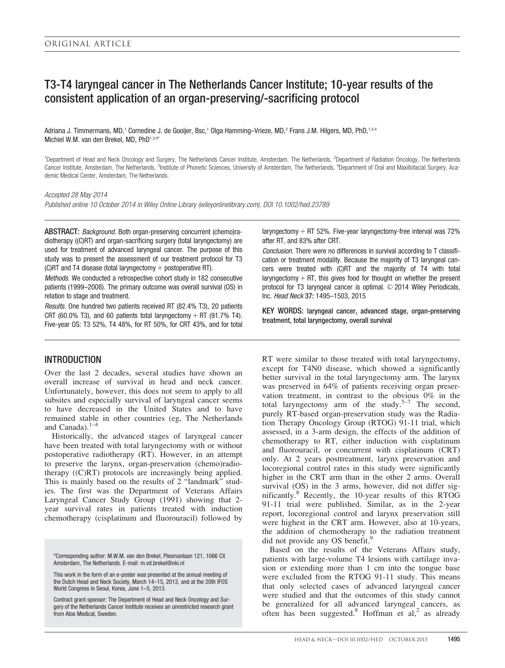## T3-T4 laryngeal cancer in The Netherlands Cancer Institute; 10-year results of the consistent application of an organ-preserving/-sacrificing protocol

Adriana J. Timmermans, MD,<sup>1</sup> Cornedine J. de Gooijer, Bsc,<sup>1</sup> Olga Hamming–Vrieze, MD,<sup>2</sup> Frans J.M. Hilgers, MD, PhD,<sup>1,3,4</sup> Michiel W.M. van den Brekel, MD, PhD1,3,4\*

<sup>1</sup>Department of Head and Neck Oncology and Surgery, The Netherlands Cancer Institute, Amsterdam, The Netherlands, <sup>2</sup>Department of Radiation Oncology, The Netherlands Cancer Institute, Amsterdam, The Netherlands, <sup>3</sup>Institute of Phonetic Sciences, University of Amsterdam, The Netherlands, <sup>4</sup>Department of Oral and Maxillofacial Surgery, Academic Medical Center, Amsterdam, The Netherlands.

#### Accepted 28 May 2014

Published online 10 October 2014 in Wiley Online Library (wileyonlinelibrary.com). DOI 10.1002/hed.23789

ABSTRACT: Background. Both organ-preserving concurrent (chemo)radiotherapy ((C)RT) and organ-sacrificing surgery (total laryngectomy) are used for treatment of advanced laryngeal cancer. The purpose of this study was to present the assessment of our treatment protocol for T3 (C)RT and T4 disease (total laryngectomy  $+$  postoperative RT).

Methods. We conducted a retrospective cohort study in 182 consecutive patients (1999–2008). The primary outcome was overall survival (OS) in relation to stage and treatment.

Results. One hundred two patients received RT (82.4% T3), 20 patients CRT (60.0% T3), and 60 patients total laryngectomy  $+$  RT (91.7% T4). Five-year OS: T3 52%, T4 48%, for RT 50%, for CRT 43%, and for total

### **INTRODUCTION**

Over the last 2 decades, several studies have shown an overall increase of survival in head and neck cancer. Unfortunately, however, this does not seem to apply to all subsites and especially survival of laryngeal cancer seems to have decreased in the United States and to have remained stable in other countries (eg, The Netherlands and Canada). $1-4$ 

Historically, the advanced stages of laryngeal cancer have been treated with total laryngectomy with or without postoperative radiotherapy (RT). However, in an attempt to preserve the larynx, organ-preservation (chemo)radiotherapy ((C)RT) protocols are increasingly being applied. This is mainly based on the results of 2 "landmark" studies. The first was the Department of Veterans Affairs Laryngeal Cancer Study Group (1991) showing that 2 year survival rates in patients treated with induction chemotherapy (cisplatinum and fluorouracil) followed by

\*Corresponding author: M.W.M. van den Brekel, Plesmanlaan 121, 1066 CX Amsterdam, The Netherlands. E-mail: m.vd.brekel@nki.nl

This work in the form of an e-poster was presented at the annual meeting of the Dutch Head and Neck Society, March 14–15, 2013, and at the 20th IFOS World Congress in Seoul, Korea, June 1–5, 2013.

Contract grant sponsor: The Department of Head and Neck Oncology and Surgery of the Netherlands Cancer Institute receives an unrestricted research grant from Atos Medical, Sweden.

laryngectomy  $+$  RT 52%. Five-year laryngectomy-free interval was 72% after RT, and 83% after CRT.

Conclusion. There were no differences in survival according to T classification or treatment modality. Because the majority of T3 laryngeal cancers were treated with (C)RT and the majority of T4 with total laryngectomy  $+ RT$ , this gives food for thought on whether the present protocol for T3 laryngeal cancer is optimal.  $\odot$  2014 Wiley Periodicals, Inc. Head Neck 37: 1495–1503, 2015

KEY WORDS: laryngeal cancer, advanced stage, organ-preserving treatment, total laryngectomy, overall survival

RT were similar to those treated with total laryngectomy, except for T4N0 disease, which showed a significantly better survival in the total laryngectomy arm. The larynx was preserved in 64% of patients receiving organ preservation treatment, in contrast to the obvious 0% in the total laryngectomy arm of the study.<sup>5–7</sup> The second, purely RT-based organ-preservation study was the Radiation Therapy Oncology Group (RTOG) 91-11 trial, which assessed, in a 3-arm design, the effects of the addition of chemotherapy to RT, either induction with cisplatinum and fluorouracil, or concurrent with cisplatinum (CRT) only. At 2 years posttreatment, larynx preservation and locoregional control rates in this study were significantly higher in the CRT arm than in the other 2 arms. Overall survival (OS) in the 3 arms, however, did not differ significantly.8 Recently, the 10-year results of this RTOG 91-11 trial were published. Similar, as in the 2-year report, locoregional control and larynx preservation still were highest in the CRT arm. However, also at 10-years, the addition of chemotherapy to the radiation treatment did not provide any OS benefit.<sup>9</sup>

Based on the results of the Veterans Affairs study, patients with large-volume T4 lesions with cartilage invasion or extending more than 1 cm into the tongue base were excluded from the RTOG 91-11 study. This means that only selected cases of advanced laryngeal cancer were studied and that the outcomes of this study cannot be generalized for all advanced laryngeal cancers, as often has been suggested. $8$  Hoffman et al,<sup>2</sup> as already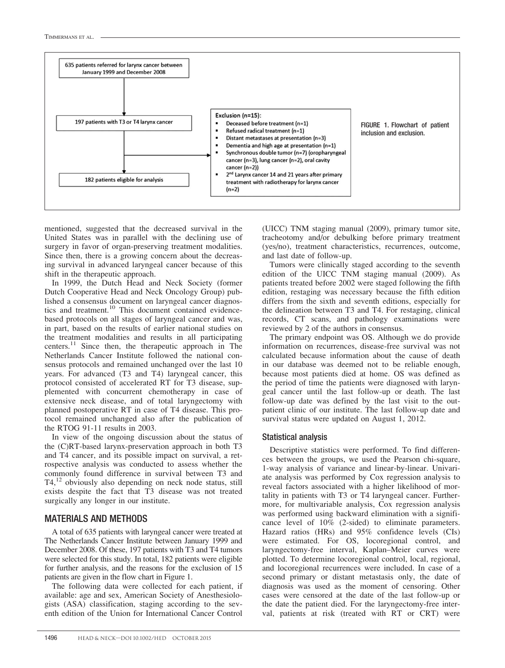

mentioned, suggested that the decreased survival in the United States was in parallel with the declining use of surgery in favor of organ-preserving treatment modalities. Since then, there is a growing concern about the decreasing survival in advanced laryngeal cancer because of this shift in the therapeutic approach.

In 1999, the Dutch Head and Neck Society (former Dutch Cooperative Head and Neck Oncology Group) published a consensus document on laryngeal cancer diagnostics and treatment.<sup>10</sup> This document contained evidencebased protocols on all stages of laryngeal cancer and was, in part, based on the results of earlier national studies on the treatment modalities and results in all participating centers.<sup>11</sup> Since then, the therapeutic approach in The Netherlands Cancer Institute followed the national consensus protocols and remained unchanged over the last 10 years. For advanced (T3 and T4) laryngeal cancer, this protocol consisted of accelerated RT for T3 disease, supplemented with concurrent chemotherapy in case of extensive neck disease, and of total laryngectomy with planned postoperative RT in case of T4 disease. This protocol remained unchanged also after the publication of the RTOG 91-11 results in 2003.

In view of the ongoing discussion about the status of the (C)RT-based larynx-preservation approach in both T3 and T4 cancer, and its possible impact on survival, a retrospective analysis was conducted to assess whether the commonly found difference in survival between T3 and  $T4$ ,<sup>12</sup> obviously also depending on neck node status, still exists despite the fact that T3 disease was not treated surgically any longer in our institute.

#### MATERIALS AND METHODS

A total of 635 patients with laryngeal cancer were treated at The Netherlands Cancer Institute between January 1999 and December 2008. Of these, 197 patients with T3 and T4 tumors were selected for this study. In total, 182 patients were eligible for further analysis, and the reasons for the exclusion of 15 patients are given in the flow chart in Figure 1.

The following data were collected for each patient, if available: age and sex, American Society of Anesthesiologists (ASA) classification, staging according to the seventh edition of the Union for International Cancer Control

(UICC) TNM staging manual (2009), primary tumor site, tracheotomy and/or debulking before primary treatment (yes/no), treatment characteristics, recurrences, outcome, and last date of follow-up.

Tumors were clinically staged according to the seventh edition of the UICC TNM staging manual (2009). As patients treated before 2002 were staged following the fifth edition, restaging was necessary because the fifth edition differs from the sixth and seventh editions, especially for the delineation between T3 and T4. For restaging, clinical records, CT scans, and pathology examinations were reviewed by 2 of the authors in consensus.

The primary endpoint was OS. Although we do provide information on recurrences, disease-free survival was not calculated because information about the cause of death in our database was deemed not to be reliable enough, because most patients died at home. OS was defined as the period of time the patients were diagnosed with laryngeal cancer until the last follow-up or death. The last follow-up date was defined by the last visit to the outpatient clinic of our institute. The last follow-up date and survival status were updated on August 1, 2012.

#### Statistical analysis

Descriptive statistics were performed. To find differences between the groups, we used the Pearson chi-square, 1-way analysis of variance and linear-by-linear. Univariate analysis was performed by Cox regression analysis to reveal factors associated with a higher likelihood of mortality in patients with T3 or T4 laryngeal cancer. Furthermore, for multivariable analysis, Cox regression analysis was performed using backward elimination with a significance level of 10% (2-sided) to eliminate parameters. Hazard ratios (HRs) and 95% confidence levels (CIs) were estimated. For OS, locoregional control, and laryngectomy-free interval, Kaplan–Meier curves were plotted. To determine locoregional control, local, regional, and locoregional recurrences were included. In case of a second primary or distant metastasis only, the date of diagnosis was used as the moment of censoring. Other cases were censored at the date of the last follow-up or the date the patient died. For the laryngectomy-free interval, patients at risk (treated with RT or CRT) were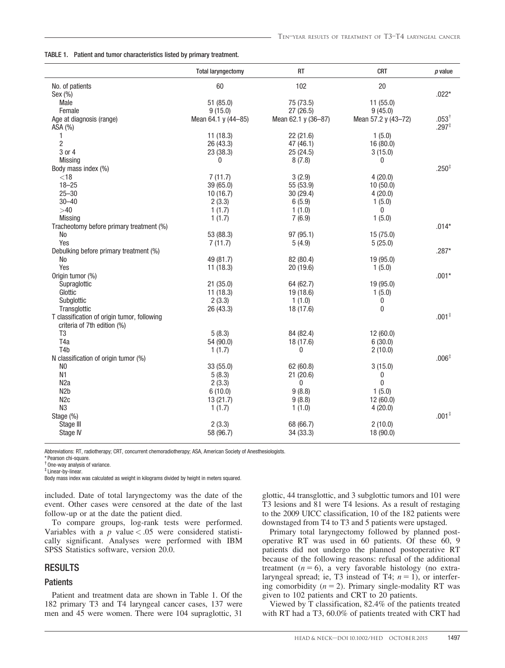|  |  | TABLE 1. Patient and tumor characteristics listed by primary treatment. |  |  |
|--|--|-------------------------------------------------------------------------|--|--|
|--|--|-------------------------------------------------------------------------|--|--|

|                                             | <b>Total laryngectomy</b> | RT                  | <b>CRT</b>          | $p$ value        |
|---------------------------------------------|---------------------------|---------------------|---------------------|------------------|
| No. of patients                             | 60                        | 102                 | 20                  |                  |
| Sex (%)                                     |                           |                     |                     | $.022*$          |
| Male                                        | 51(85.0)                  | 75 (73.5)           | 11(55.0)            |                  |
| Female                                      | 9(15.0)                   | 27 (26.5)           | 9(45.0)             |                  |
| Age at diagnosis (range)                    | Mean 64.1 y (44-85)       | Mean 62.1 y (36-87) | Mean 57.2 y (43-72) | $.053^{\dagger}$ |
| ASA (%)                                     |                           |                     |                     | $.297*$          |
| 1                                           | 11(18.3)                  | 22 (21.6)           | 1(5.0)              |                  |
| $\overline{c}$                              | 26 (43.3)                 | 47 (46.1)           | 16(80.0)            |                  |
| 3 or 4                                      | 23 (38.3)                 | 25(24.5)            | 3(15.0)             |                  |
| <b>Missing</b>                              | 0                         | 8(7.8)              | 0                   |                  |
| Body mass index (%)                         |                           |                     |                     | $.250*$          |
| $<$ 18                                      | 7(11.7)                   | 3(2.9)              | 4(20.0)             |                  |
| $18 - 25$                                   | 39 (65.0)                 | 55 (53.9)           | 10(50.0)            |                  |
| $25 - 30$                                   | 10(16.7)                  | 30 (29.4)           | 4(20.0)             |                  |
| $30 - 40$                                   | 2(3.3)                    | 6(5.9)              | 1(5.0)              |                  |
| >40                                         | 1(1.7)                    | 1(1.0)              | $\mathbf{0}$        |                  |
| Missing                                     | 1(1.7)                    | 7(6.9)              | 1(5.0)              |                  |
| Tracheotomy before primary treatment (%)    |                           |                     |                     | $.014*$          |
| No                                          | 53 (88.3)                 | 97 (95.1)           | 15(75.0)            |                  |
| Yes                                         | 7(11.7)                   | 5(4.9)              | 5(25.0)             |                  |
| Debulking before primary treatment (%)      |                           |                     |                     | $.287*$          |
| No                                          | 49 (81.7)                 | 82 (80.4)           | 19 (95.0)           |                  |
| Yes                                         | 11(18.3)                  | 20 (19.6)           | 1(5.0)              |                  |
| Origin tumor (%)                            |                           |                     |                     | $.001*$          |
| Supraglottic                                | 21(35.0)                  | 64 (62.7)           | 19 (95.0)           |                  |
| Glottic                                     | 11(18.3)                  | 19 (18.6)           | 1(5.0)              |                  |
| Subglottic                                  | 2(3.3)                    | 1(1.0)              | 0                   |                  |
| Transglottic                                | 26 (43.3)                 | 18 (17.6)           | $\pmb{0}$           |                  |
| T classification of origin tumor, following |                           |                     |                     | $.001*$          |
| criteria of 7th edition (%)                 |                           |                     |                     |                  |
| T <sub>3</sub><br>T <sub>4</sub> a          | 5(8.3)                    | 84 (82.4)           | 12(60.0)            |                  |
| T <sub>4</sub> b                            | 54 (90.0)                 | 18 (17.6)<br>0      | 6(30.0)             |                  |
| N classification of origin tumor (%)        | 1(1.7)                    |                     | 2(10.0)             | $.006*$          |
| N <sub>0</sub>                              | 33 (55.0)                 | 62 (60.8)           | 3(15.0)             |                  |
| N <sub>1</sub>                              | 5(8.3)                    | 21(20.6)            | 0                   |                  |
| N <sub>2</sub> a                            | 2(3.3)                    | 0                   | $\overline{0}$      |                  |
| N <sub>2</sub> b                            | 6(10.0)                   | 9(8.8)              | 1(5.0)              |                  |
| N <sub>2c</sub>                             | 13(21.7)                  | 9(8.8)              | 12(60.0)            |                  |
| N <sub>3</sub>                              | 1(1.7)                    | 1(1.0)              | 4(20.0)             |                  |
| Stage (%)                                   |                           |                     |                     | $.001*$          |
| Stage III                                   | 2(3.3)                    | 68 (66.7)           | 2(10.0)             |                  |
| Stage IV                                    | 58 (96.7)                 | 34 (33.3)           | 18 (90.0)           |                  |
|                                             |                           |                     |                     |                  |

Abbreviations: RT, radiotherapy; CRT, concurrent chemoradiotherapy; ASA, American Society of Anesthesiologists.

\* Pearson chi-square. † One-way analysis of variance.

‡ Linear-by-linear.

Body mass index was calculated as weight in kilograms divided by height in meters squared.

included. Date of total laryngectomy was the date of the event. Other cases were censored at the date of the last follow-up or at the date the patient died.

To compare groups, log-rank tests were performed. Variables with a p value  $< .05$  were considered statistically significant. Analyses were performed with IBM SPSS Statistics software, version 20.0.

#### RESULTS

#### **Patients**

Patient and treatment data are shown in Table 1. Of the 182 primary T3 and T4 laryngeal cancer cases, 137 were men and 45 were women. There were 104 supraglottic, 31 glottic, 44 transglottic, and 3 subglottic tumors and 101 were T3 lesions and 81 were T4 lesions. As a result of restaging to the 2009 UICC classification, 10 of the 182 patients were downstaged from T4 to T3 and 5 patients were upstaged.

Primary total laryngectomy followed by planned postoperative RT was used in 60 patients. Of these 60, 9 patients did not undergo the planned postoperative RT because of the following reasons: refusal of the additional treatment  $(n = 6)$ , a very favorable histology (no extralaryngeal spread; ie, T3 instead of T4;  $n = 1$ ), or interfering comorbidity  $(n = 2)$ . Primary single-modality RT was given to 102 patients and CRT to 20 patients.

Viewed by T classification, 82.4% of the patients treated with RT had a T3, 60.0% of patients treated with CRT had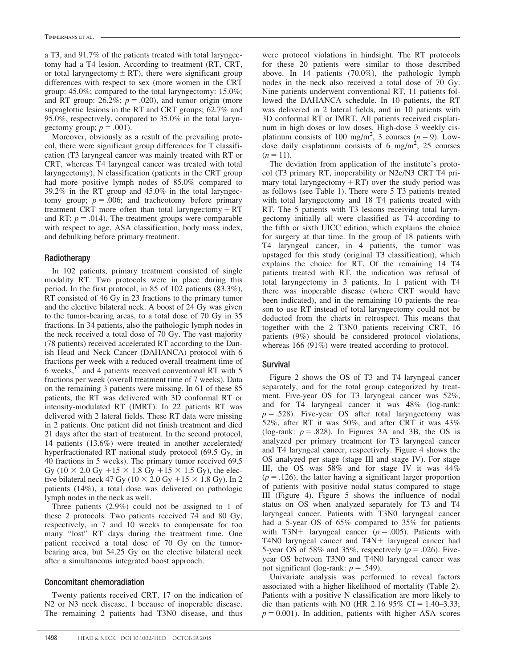a T3, and 91.7% of the patients treated with total laryngectomy had a T4 lesion. According to treatment (RT, CRT, or total laryngectomy  $\pm$  RT), there were significant group differences with respect to sex (more women in the CRT group: 45.0%; compared to the total laryngectomy: 15.0%; and RT group: 26.2%;  $p = .020$ ), and tumor origin (more supraglottic lesions in the RT and CRT groups; 62.7% and 95.0%, respectively, compared to 35.0% in the total laryngectomy group;  $p = .001$ ).

Moreover, obviously as a result of the prevailing protocol, there were significant group differences for T classification (T3 laryngeal cancer was mainly treated with RT or CRT, whereas T4 laryngeal cancer was treated with total laryngectomy), N classification (patients in the CRT group had more positive lymph nodes of 85.0% compared to 39.2% in the RT group and 45.0% in the total laryngectomy group;  $p = .006$ ; and tracheotomy before primary treatment CRT more often than total laryngectomy  $+ RT$ and RT;  $p = .014$ ). The treatment groups were comparable with respect to age, ASA classification, body mass index, and debulking before primary treatment.

#### Radiotherapy

In 102 patients, primary treatment consisted of single modality RT. Two protocols were in place during this period. In the first protocol, in 85 of 102 patients (83.3%), RT consisted of 46 Gy in 23 fractions to the primary tumor and the elective bilateral neck. A boost of 24 Gy was given to the tumor-bearing areas, to a total dose of 70 Gy in 35 fractions. In 34 patients, also the pathologic lymph nodes in the neck received a total dose of 70 Gy. The vast majority (78 patients) received accelerated RT according to the Danish Head and Neck Cancer (DAHANCA) protocol with 6 fractions per week with a reduced overall treatment time of 6 weeks,13 and 4 patients received conventional RT with 5 fractions per week (overall treatment time of 7 weeks). Data on the remaining 3 patients were missing. In 61 of these 85 patients, the RT was delivered with 3D conformal RT or intensity-modulated RT (IMRT). In 22 patients RT was delivered with 2 lateral fields. These RT data were missing in 2 patients. One patient did not finish treatment and died 21 days after the start of treatment. In the second protocol, 14 patients (13.6%) were treated in another accelerated/ hyperfractionated RT national study protocol (69.5 Gy, in 40 fractions in 5 weeks). The primary tumor received 69.5 Gy (10  $\times$  2.0 Gy +15  $\times$  1.8 Gy +15  $\times$  1.5 Gy), the elective bilateral neck 47 Gy ( $10 \times 2.0$  Gy  $+15 \times 1.8$  Gy). In 2 patients (14%), a total dose was delivered on pathologic lymph nodes in the neck as well.

Three patients (2.9%) could not be assigned to 1 of these 2 protocols. Two patients received 74 and 80 Gy, respectively, in 7 and 10 weeks to compensate for too many "lost" RT days during the treatment time. One patient received a total dose of 70 Gy on the tumorbearing area, but 54.25 Gy on the elective bilateral neck after a simultaneous integrated boost approach.

#### Concomitant chemoradiation

Twenty patients received CRT, 17 on the indication of N2 or N3 neck disease, 1 because of inoperable disease. The remaining 2 patients had T3N0 disease, and thus

were protocol violations in hindsight. The RT protocols for these 20 patients were similar to those described above. In 14 patients (70.0%), the pathologic lymph nodes in the neck also received a total dose of 70 Gy. Nine patients underwent conventional RT, 11 patients followed the DAHANCA schedule. In 10 patients, the RT was delivered in 2 lateral fields, and in 10 patients with 3D conformal RT or IMRT. All patients received cisplatinum in high doses or low doses. High-dose 3 weekly cisplatinum consists of 100 mg/m<sup>2</sup>, 3 courses  $(n = 9)$ . Lowdose daily cisplatinum consists of 6 mg/m<sup>2</sup>, 25 courses  $(n = 11)$ .

The deviation from application of the institute's protocol (T3 primary RT, inoperability or N2c/N3 CRT T4 primary total laryngectomy  $+ RT$ ) over the study period was as follows (see Table 1). There were 5 T3 patients treated with total laryngectomy and 18 T4 patients treated with RT. The 5 patients with T3 lesions receiving total laryngectomy initially all were classified as T4 according to the fifth or sixth UICC edition, which explains the choice for surgery at that time. In the group of 18 patients with T4 laryngeal cancer, in 4 patients, the tumor was upstaged for this study (original T3 classification), which explains the choice for RT. Of the remaining 14 T4 patients treated with RT, the indication was refusal of total laryngectomy in 3 patients. In 1 patient with T4 there was inoperable disease (where CRT would have been indicated), and in the remaining 10 patients the reason to use RT instead of total laryngectomy could not be deducted from the charts in retrospect. This means that together with the 2 T3N0 patients receiving CRT, 16 patients (9%) should be considered protocol violations, whereas 166 (91%) were treated according to protocol.

#### Survival

Figure 2 shows the OS of T3 and T4 laryngeal cancer separately, and for the total group categorized by treatment. Five-year OS for T3 laryngeal cancer was 52%, and for T4 laryngeal cancer it was 48% (log-rank:  $p = .528$ ). Five-year OS after total laryngectomy was 52%, after RT it was 50%, and after CRT it was 43% (log-rank:  $p = .828$ ). In Figures 3A and 3B, the OS is analyzed per primary treatment for T3 laryngeal cancer and T4 laryngeal cancer, respectively. Figure 4 shows the OS analyzed per stage (stage III and stage IV). For stage III, the OS was 58% and for stage IV it was 44%  $(p = .126)$ , the latter having a significant larger proportion of patients with positive nodal status compared to stage III (Figure 4). Figure 5 shows the influence of nodal status on OS when analyzed separately for T3 and T4 laryngeal cancer. Patients with T3N0 laryngeal cancer had a 5-year OS of 65% compared to 35% for patients with T3N+ laryngeal cancer ( $p = .005$ ). Patients with T4N0 laryngeal cancer and  $T4N+$  laryngeal cancer had 5-year OS of 58% and 35%, respectively ( $p = .026$ ). Fiveyear OS between T3N0 and T4N0 laryngeal cancer was not significant (log-rank:  $p = .549$ ).

Univariate analysis was performed to reveal factors associated with a higher likelihood of mortality (Table 2). Patients with a positive N classification are more likely to die than patients with N0 (HR 2.16 95% CI = 1.40–3.33;  $p = 0.001$ ). In addition, patients with higher ASA scores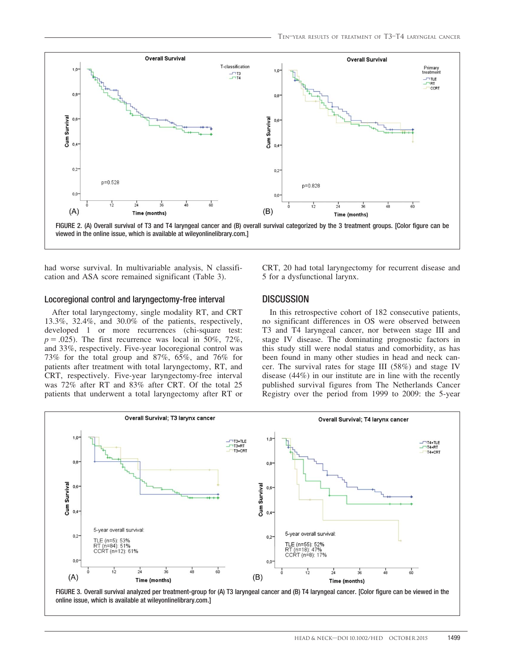

had worse survival. In multivariable analysis, N classification and ASA score remained significant (Table 3).

#### Locoregional control and laryngectomy-free interval

After total laryngectomy, single modality RT, and CRT 13.3%, 32.4%, and 30.0% of the patients, respectively, developed 1 or more recurrences (chi-square test:  $p = .025$ ). The first recurrence was local in 50%, 72%, and 33%, respectively. Five-year locoregional control was 73% for the total group and 87%, 65%, and 76% for patients after treatment with total laryngectomy, RT, and CRT, respectively. Five-year laryngectomy-free interval was 72% after RT and 83% after CRT. Of the total 25 patients that underwent a total laryngectomy after RT or CRT, 20 had total laryngectomy for recurrent disease and 5 for a dysfunctional larynx.

### **DISCUSSION**

In this retrospective cohort of 182 consecutive patients, no significant differences in OS were observed between T3 and T4 laryngeal cancer, nor between stage III and stage IV disease. The dominating prognostic factors in this study still were nodal status and comorbidity, as has been found in many other studies in head and neck cancer. The survival rates for stage III (58%) and stage IV disease (44%) in our institute are in line with the recently published survival figures from The Netherlands Cancer Registry over the period from 1999 to 2009: the 5-year

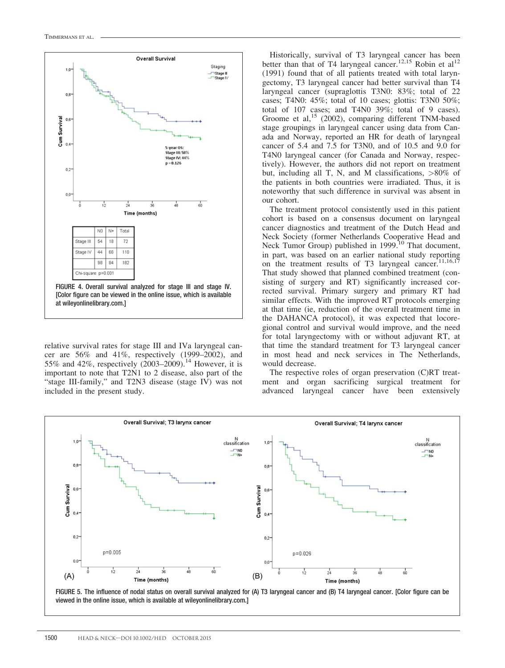

relative survival rates for stage III and IVa laryngeal cancer are 56% and 41%, respectively (1999–2002), and 55% and 42%, respectively  $(2003-2009)$ .<sup>14</sup> However, it is important to note that T2N1 to 2 disease, also part of the "stage III-family," and T2N3 disease (stage IV) was not included in the present study.

Historically, survival of T3 laryngeal cancer has been better than that of T4 laryngeal cancer.<sup>12,15</sup> Robin et al<sup>12</sup> (1991) found that of all patients treated with total laryngectomy, T3 laryngeal cancer had better survival than T4 laryngeal cancer (supraglottis T3N0: 83%; total of 22 cases; T4N0: 45%; total of 10 cases; glottis: T3N0 50%; total of 107 cases; and T4N0 39%; total of 9 cases). Groome et al,<sup>15</sup> (2002), comparing different TNM-based stage groupings in laryngeal cancer using data from Canada and Norway, reported an HR for death of laryngeal cancer of 5.4 and 7.5 for T3N0, and of 10.5 and 9.0 for T4N0 laryngeal cancer (for Canada and Norway, respectively). However, the authors did not report on treatment but, including all T, N, and M classifications, >80% of the patients in both countries were irradiated. Thus, it is noteworthy that such difference in survival was absent in our cohort.

The treatment protocol consistently used in this patient cohort is based on a consensus document on laryngeal cancer diagnostics and treatment of the Dutch Head and Neck Society (former Netherlands Cooperative Head and Neck Tumor Group) published in 1999.<sup>10</sup> That document, in part, was based on an earlier national study reporting on the treatment results of T3 laryngeal cancer.<sup>11,16,17</sup> That study showed that planned combined treatment (consisting of surgery and RT) significantly increased corrected survival. Primary surgery and primary RT had similar effects. With the improved RT protocols emerging at that time (ie, reduction of the overall treatment time in the DAHANCA protocol), it was expected that locoregional control and survival would improve, and the need for total laryngectomy with or without adjuvant RT, at that time the standard treatment for T3 laryngeal cancer in most head and neck services in The Netherlands, would decrease.

The respective roles of organ preservation (C)RT treatment and organ sacrificing surgical treatment for advanced laryngeal cancer have been extensively

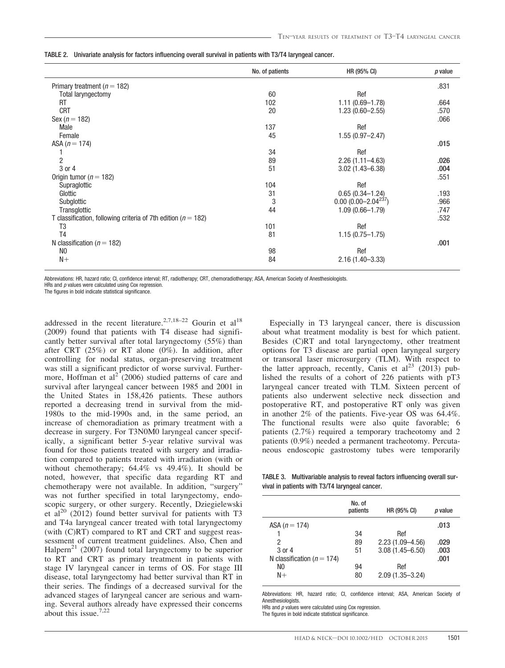|  |  | TABLE 2.   Univariate analysis for factors influencing overall survival in patients with T3/T4 laryngeal cancer. |
|--|--|------------------------------------------------------------------------------------------------------------------|
|  |  |                                                                                                                  |

|                                                                   | No. of patients | HR (95% CI)             | $p$ value |
|-------------------------------------------------------------------|-----------------|-------------------------|-----------|
| Primary treatment ( $n = 182$ )                                   |                 |                         | .831      |
| <b>Total laryngectomy</b>                                         | 60              | Ref                     |           |
| RT                                                                | 102             | $1.11(0.69 - 1.78)$     | .664      |
| <b>CRT</b>                                                        | 20              | $1.23(0.60 - 2.55)$     | .570      |
| Sex $(n = 182)$                                                   |                 |                         | .066      |
| Male                                                              | 137             | Ref                     |           |
| Female                                                            | 45              | $1.55(0.97 - 2.47)$     |           |
| ASA $(n = 174)$                                                   |                 |                         | .015      |
|                                                                   | 34              | Ref                     |           |
| $\overline{c}$                                                    | 89              | $2.26(1.11 - 4.63)$     | .026      |
| 3 or 4                                                            | 51              | $3.02(1.43 - 6.38)$     | .004      |
| Origin tumor ( $n = 182$ )                                        |                 |                         | .551      |
| Supraglottic                                                      | 104             | Ref                     |           |
| Glottic                                                           | 31              | $0.65(0.34 - 1.24)$     | .193      |
| Subglottic                                                        | 3               | $0.00(0.00-2.04^{237})$ | .966      |
| Transglottic                                                      | 44              | $1.09(0.66 - 1.79)$     | .747      |
| T classification, following criteria of 7th edition ( $n = 182$ ) |                 |                         | .532      |
| T3                                                                | 101             | Ref                     |           |
| T <sub>4</sub>                                                    | 81              | $1.15(0.75 - 1.75)$     |           |
| N classification ( $n = 182$ )                                    |                 |                         | .001      |
| N <sub>0</sub>                                                    | 98              | Ref                     |           |
| $N+$                                                              | 84              | $2.16(1.40 - 3.33)$     |           |

Abbreviations: HR, hazard ratio; CI, confidence interval; RT, radiotherapy; CRT, chemoradiotherapy; ASA, American Society of Anesthesiologists.

HRs and  $p$  values were calculated using Cox regression.

The figures in bold indicate statistical significance.

addressed in the recent literature.<sup>2,7,18–22</sup> Gourin et al<sup>18</sup> (2009) found that patients with T4 disease had significantly better survival after total laryngectomy (55%) than after CRT (25%) or RT alone (0%). In addition, after controlling for nodal status, organ-preserving treatment was still a significant predictor of worse survival. Furthermore, Hoffman et  $al^2(2006)$  studied patterns of care and survival after laryngeal cancer between 1985 and 2001 in the United States in 158,426 patients. These authors reported a decreasing trend in survival from the mid-1980s to the mid-1990s and, in the same period, an increase of chemoradiation as primary treatment with a decrease in surgery. For T3N0M0 laryngeal cancer specifically, a significant better 5-year relative survival was found for those patients treated with surgery and irradiation compared to patients treated with irradiation (with or without chemotherapy; 64.4% vs 49.4%). It should be noted, however, that specific data regarding RT and chemotherapy were not available. In addition, "surgery" was not further specified in total laryngectomy, endoscopic surgery, or other surgery. Recently, Dziegielewski et al<sup>20</sup> (2012) found better survival for patients with T3 and T4a laryngeal cancer treated with total laryngectomy (with (C)RT) compared to RT and CRT and suggest reassessment of current treatment guidelines. Also, Chen and Halpern<sup>21</sup> (2007) found total laryngectomy to be superior to RT and CRT as primary treatment in patients with stage IV laryngeal cancer in terms of OS. For stage III disease, total laryngectomy had better survival than RT in their series. The findings of a decreased survival for the advanced stages of laryngeal cancer are serious and warning. Several authors already have expressed their concerns about this issue.7,22

Especially in T3 laryngeal cancer, there is discussion about what treatment modality is best for which patient. Besides (C)RT and total laryngectomy, other treatment options for T3 disease are partial open laryngeal surgery or transoral laser microsurgery (TLM). With respect to the latter approach, recently, Canis et al<sup>23</sup> (2013) published the results of a cohort of 226 patients with pT3 laryngeal cancer treated with TLM. Sixteen percent of patients also underwent selective neck dissection and postoperative RT, and postoperative RT only was given in another 2% of the patients. Five-year OS was 64.4%. The functional results were also quite favorable; 6 patients (2.7%) required a temporary tracheotomy and 2 patients (0.9%) needed a permanent tracheotomy. Percutaneous endoscopic gastrostomy tubes were temporarily

TABLE 3. Multivariable analysis to reveal factors influencing overall survival in patients with T3/T4 laryngeal cancer.

| No. of<br>patients | HR (95% CI)         | p value |
|--------------------|---------------------|---------|
|                    |                     | .013    |
| 34                 | Ref                 |         |
| 89                 | $2.23(1.09 - 4.56)$ | .029    |
| 51                 | $3.08(1.45 - 6.50)$ | .003    |
|                    |                     | .001    |
| 94                 | Ref                 |         |
| 80                 | $2.09(1.35 - 3.24)$ |         |
|                    |                     |         |

Abbreviations: HR, hazard ratio; CI, confidence interval; ASA, American Society of Anesthesiologists.

HRs and  $p$  values were calculated using Cox regression.

The figures in bold indicate statistical significance.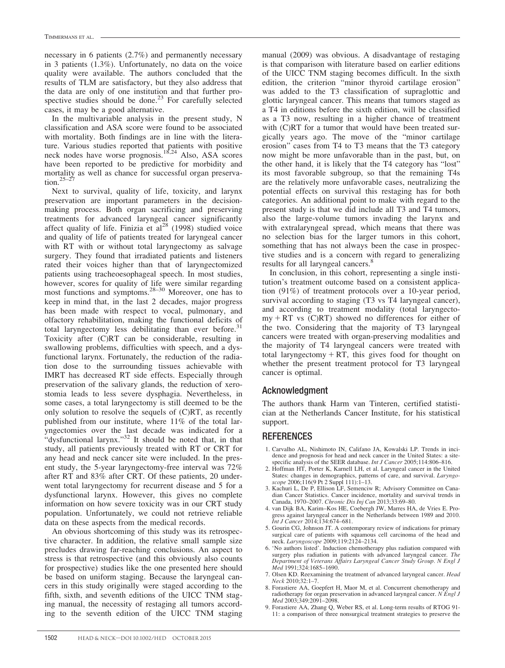necessary in 6 patients (2.7%) and permanently necessary in 3 patients (1.3%). Unfortunately, no data on the voice quality were available. The authors concluded that the results of TLM are satisfactory, but they also address that the data are only of one institution and that further prospective studies should be done. $^{23}$  For carefully selected cases, it may be a good alternative.

In the multivariable analysis in the present study, N classification and ASA score were found to be associated with mortality. Both findings are in line with the literature. Various studies reported that patients with positive neck nodes have worse prognosis.<sup>18,24</sup> Also, ASA scores have been reported to be predictive for morbidity and mortality as well as chance for successful organ preservation. $25-27$ 

Next to survival, quality of life, toxicity, and larynx preservation are important parameters in the decisionmaking process. Both organ sacrificing and preserving treatments for advanced laryngeal cancer significantly affect quality of life. Finizia et  $al^{28}$  (1998) studied voice and quality of life of patients treated for laryngeal cancer with RT with or without total laryngectomy as salvage surgery. They found that irradiated patients and listeners rated their voices higher than that of laryngectomized patients using tracheoesophageal speech. In most studies, however, scores for quality of life were similar regarding most functions and symptoms.<sup>28–30</sup> Moreover, one has to keep in mind that, in the last 2 decades, major progress has been made with respect to vocal, pulmonary, and olfactory rehabilitation, making the functional deficits of total laryngectomy less debilitating than ever before.<sup>31</sup> Toxicity after (C)RT can be considerable, resulting in swallowing problems, difficulties with speech, and a dysfunctional larynx. Fortunately, the reduction of the radiation dose to the surrounding tissues achievable with IMRT has decreased RT side effects. Especially through preservation of the salivary glands, the reduction of xerostomia leads to less severe dysphagia. Nevertheless, in some cases, a total laryngectomy is still deemed to be the only solution to resolve the sequels of (C)RT, as recently published from our institute, where 11% of the total laryngectomies over the last decade was indicated for a "dysfunctional larynx."<sup>32</sup> It should be noted that, in that study, all patients previously treated with RT or CRT for any head and neck cancer site were included. In the present study, the 5-year laryngectomy-free interval was 72% after RT and 83% after CRT. Of these patients, 20 underwent total laryngectomy for recurrent disease and 5 for a dysfunctional larynx. However, this gives no complete information on how severe toxicity was in our CRT study population. Unfortunately, we could not retrieve reliable data on these aspects from the medical records.

An obvious shortcoming of this study was its retrospective character. In addition, the relative small sample size precludes drawing far-reaching conclusions. An aspect to stress is that retrospective (and this obviously also counts for prospective) studies like the one presented here should be based on uniform staging. Because the laryngeal cancers in this study originally were staged according to the fifth, sixth, and seventh editions of the UICC TNM staging manual, the necessity of restaging all tumors according to the seventh edition of the UICC TNM staging

manual (2009) was obvious. A disadvantage of restaging is that comparison with literature based on earlier editions of the UICC TNM staging becomes difficult. In the sixth edition, the criterion "minor thyroid cartilage erosion" was added to the T3 classification of supraglottic and glottic laryngeal cancer. This means that tumors staged as a T4 in editions before the sixth edition, will be classified as a T3 now, resulting in a higher chance of treatment with (C)RT for a tumor that would have been treated surgically years ago. The move of the "minor cartilage erosion" cases from T4 to T3 means that the T3 category now might be more unfavorable than in the past, but, on the other hand, it is likely that the T4 category has "lost" its most favorable subgroup, so that the remaining T4s are the relatively more unfavorable cases, neutralizing the potential effects on survival this restaging has for both categories. An additional point to make with regard to the present study is that we did include all T3 and T4 tumors, also the large-volume tumors invading the larynx and with extralaryngeal spread, which means that there was no selection bias for the larger tumors in this cohort, something that has not always been the case in prospective studies and is a concern with regard to generalizing results for all laryngeal cancers.<sup>8</sup>

In conclusion, in this cohort, representing a single institution's treatment outcome based on a consistent application (91%) of treatment protocols over a 10-year period, survival according to staging (T3 vs T4 laryngeal cancer), and according to treatment modality (total laryngecto $my + RT$  vs (C)RT) showed no differences for either of the two. Considering that the majority of T3 laryngeal cancers were treated with organ-preserving modalities and the majority of T4 laryngeal cancers were treated with total laryngectomy  $+ RT$ , this gives food for thought on whether the present treatment protocol for T3 laryngeal cancer is optimal.

### Acknowledgment

The authors thank Harm van Tinteren, certified statistician at the Netherlands Cancer Institute, for his statistical support.

### **REFERENCES**

- 1. Carvalho AL, Nishimoto IN, Califano JA, Kowalski LP. Trends in incidence and prognosis for head and neck cancer in the United States: a sitepecific analysis of the SEER database. Int J Cancer 2005;114:806-816.
- 2. Hoffman HT, Porter K, Karnell LH, et al. Laryngeal cancer in the United States: changes in demographics, patterns of care, and survival. Laryngo-
- scope 2006;116(9 Pt 2 Suppl 111):1–13. 3. Kachuri L, De P, Ellison LF, Semenciw R; Advisory Committee on Canadian Cancer Statistics. Cancer incidence, mortality and survival trends in Canada, 1970–2007. Chronic Dis Inj Can 2013;33:69–80.
- 4. van Dijk BA, Karim–Kos HE, Coebergh JW, Marres HA, de Vries E. Progress against laryngeal cancer in the Netherlands between 1989 and 2010. Int J Cancer 2014;134:674–681.
- 5. Gourin CG, Johnson JT. A contemporary review of indications for primary surgical care of patients with squamous cell carcinoma of the head and neck. Laryngoscope 2009;119:2124–2134.
- 6. 'No authors listed'. Induction chemotherapy plus radiation compared with surgery plus radiation in patients with advanced laryngeal cancer. The Department of Veterans Affairs Laryngeal Cancer Study Group. N Engl J Med 1991;324:1685–1690.
- 7. Olsen KD. Reexamining the treatment of advanced laryngeal cancer. Head Neck 2010;32:1–7.
- 8. Forastiere AA, Goepfert H, Maor M, et al. Concurrent chemotherapy and radiotherapy for organ preservation in advanced laryngeal cancer. N Engl J Med 2003;349:2091–2098.
- 9. Forastiere AA, Zhang Q, Weber RS, et al. Long-term results of RTOG 91- 11: a comparison of three nonsurgical treatment strategies to preserve the